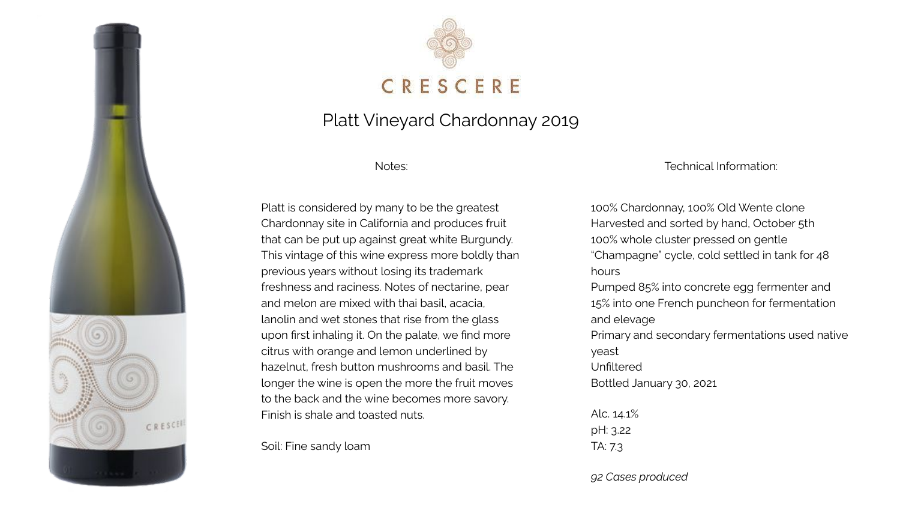



## Platt Vineyard Chardonnay 2019

Notes:

Platt is considered by many to be the greatest Chardonnay site in California and produces fruit that can be put up against great white Burgundy. This vintage of this wine express more boldly than previous years without losing its trademark freshness and raciness. Notes of nectarine, pear and melon are mixed with thai basil, acacia, lanolin and wet stones that rise from the glass upon first inhaling it. On the palate, we find more citrus with orange and lemon underlined by hazelnut, fresh button mushrooms and basil. The longer the wine is open the more the fruit moves to the back and the wine becomes more savory. Finish is shale and toasted nuts.

Soil: Fine sandy loam

Technical Information:

100% Chardonnay, 100% Old Wente clone Harvested and sorted by hand, October 5th 100% whole cluster pressed on gentle "Champagne" cycle, cold settled in tank for 48 hours Pumped 85% into concrete egg fermenter and 15% into one French puncheon for fermentation and elevage Primary and secondary fermentations used native yeast Unfiltered Bottled January 30, 2021 Alc. 14.1% pH: 3.22 TA: 7.3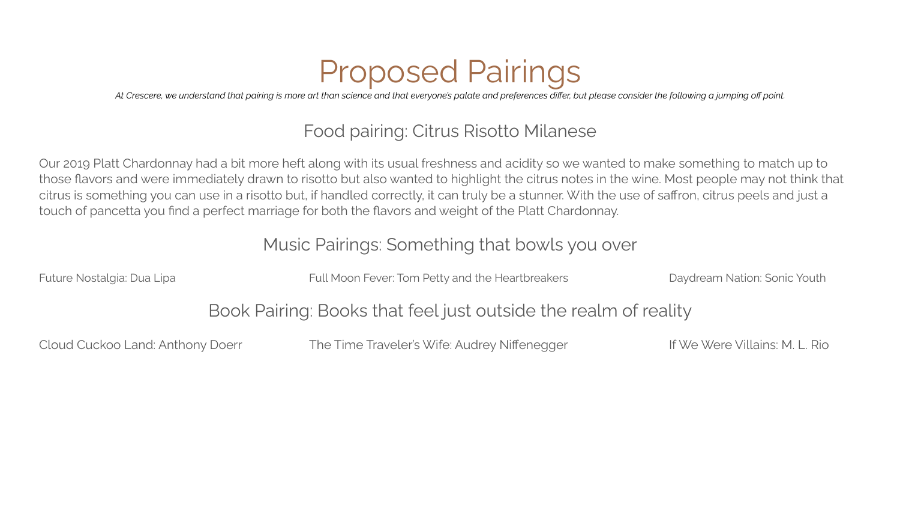# Proposed Pairings

*At Crescere, we understand that pairing is more art than science and that everyone's palate and preferences differ, but please consider the following a jumping off point.*

# Food pairing: Citrus Risotto Milanese

Our 2019 Platt Chardonnay had a bit more heft along with its usual freshness and acidity so we wanted to make something to match up to those flavors and were immediately drawn to risotto but also wanted to highlight the citrus notes in the wine. Most people may not think that citrus is something you can use in a risotto but, if handled correctly, it can truly be a stunner. With the use of saffron, citrus peels and just a touch of pancetta you find a perfect marriage for both the flavors and weight of the Platt Chardonnay.

#### Music Pairings: Something that bowls you over

Future Nostalgia: Dua Lipa **Full Moon Fever: Tom Petty and the Heartbreakers** Daydream Nation: Sonic Youth

#### Book Pairing: Books that feel just outside the realm of reality

Cloud Cuckoo Land: Anthony Doerr The Time Traveler's Wife: Audrey Niffenegger If We Were Villains: M. L. Rio